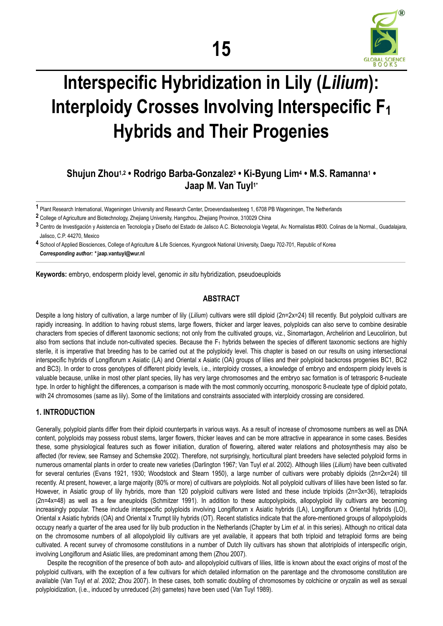

# **Interspecific Hybridization in Lily (***Lilium***): Interploidy Crosses Involving Interspecific F1 Hybrids and Their Progenies**

# **Shujun Zhou1,2 • Rodrigo Barba-Gonzalez3 • Ki-Byung Lim4 • M.S. Ramanna1 • Jaap M. Van Tuyl1\***

**1** Plant Research International, Wageningen University and Research Center, Droevendaalsesteeg 1, 6708 PB Wageningen, The Netherlands

**3** Centro de Investigación y Asistencia en Tecnología y Diseño del Estado de Jalisco A.C. Biotecnología Vegetal, Av. Normalistas #800. Colinas de la Normal., Guadalajara, Jalisco, C.P. 44270, Mexico

**4** School of Applied Biosciences, College of Agriculture & Life Sciences, Kyungpook National University, Daegu 702-701, Republic of Korea *Corresponding author: \** **jaap.vantuyl@wur.nl** 

**Keywords:** embryo, endosperm ploidy level, genomic *in situ* hybridization, pseudoeuploids

# **ABSTRACT**

Despite a long history of cultivation, a large number of lily (*Lilium*) cultivars were still diploid (2n=2x=24) till recently. But polyploid cultivars are rapidly increasing. In addition to having robust stems, large flowers, thicker and larger leaves, polyploids can also serve to combine desirable characters from species of different taxonomic sections; not only from the cultivated groups, viz., Sinomartagon, Archelirion and Leucolirion, but also from sections that include non-cultivated species. Because the  $F_1$  hybrids between the species of different taxonomic sections are highly sterile, it is imperative that breeding has to be carried out at the polyploidy level. This chapter is based on our results on using intersectional interspecific hybrids of Longiflorum x Asiatic (LA) and Oriental x Asiatic (OA) groups of lilies and their polyploid backcross progenies BC1, BC2 and BC3). In order to cross genotypes of different ploidy levels, i.e., interploidy crosses, a knowledge of embryo and endosperm ploidy levels is valuable because, unlike in most other plant species, lily has very large chromosomes and the embryo sac formation is of tetrasporic 8-nucleate type. In order to highlight the differences, a comparison is made with the most commonly occurring, monosporic 8-nucleate type of diploid potato, with 24 chromosomes (same as lily). Some of the limitations and constraints associated with interploidy crossing are considered.

# **1. INTRODUCTION**

Generally, polyploid plants differ from their diploid counterparts in various ways. As a result of increase of chromosome numbers as well as DNA content, polyploids may possess robust stems, larger flowers, thicker leaves and can be more attractive in appearance in some cases. Besides these, some physiological features such as flower initiation, duration of flowering, altered water relations and photosynthesis may also be affected (for review, see Ramsey and Schemske 2002). Therefore, not surprisingly, horticultural plant breeders have selected polyploid forms in numerous ornamental plants in order to create new varieties (Darlington 1967; Van Tuyl *et al*. 2002). Although lilies (*Lilium*) have been cultivated for several centuries (Evans 1921, 1930; Woodstock and Stearn 1950), a large number of cultivars were probably diploids (2n=2x=24) till recently. At present, however, a large majority (80% or more) of cultivars are polyploids. Not all polyploid cultivars of lilies have been listed so far. However, in Asiatic group of lily hybrids, more than 120 polyploid cultivars were listed and these include triploids (2n=3x=36), tetraploids (2n=4x=48) as well as a few aneuploids (Schmitzer 1991). In addition to these autopolyploids, allopolyploid lily cultivars are becoming increasingly popular. These include interspecific polyploids involving Longiflorum x Asiatic hybrids (LA), Longiflorum x Oriental hybrids (LO), Oriental x Asiatic hybrids (OA) and Oriental x Trumpt lily hybrids (OT). Recent statistics indicate that the afore-mentioned groups of allopolyploids occupy nearly a quarter of the area used for lily bulb production in the Netherlands (Chapter by Lim *et al*. in this series). Although no critical data on the chromosome numbers of all allopolyploid lily cultivars are yet available, it appears that both triploid and tetraploid forms are being cultivated. A recent survey of chromosome constitutions in a number of Dutch lily cultivars has shown that allotriploids of interspecific origin, involving Longiflorum and Asiatic lilies, are predominant among them (Zhou 2007).

Despite the recognition of the presence of both auto- and allopolyploid cultivars of lilies, little is known about the exact origins of most of the polyploid cultivars, with the exception of a few cultivars for which detailed information on the parentage and the chromosome constitution are available (Van Tuyl *et al*. 2002; Zhou 2007). In these cases, both somatic doubling of chromosomes by colchicine or oryzalin as well as sexual polyploidization, (i.e., induced by unreduced (*2n*) gametes) have been used (Van Tuyl 1989).

**<sup>2</sup>** College of Agriculture and Biotechnology, Zhejiang University, Hangzhou, Zhejiang Province, 310029 China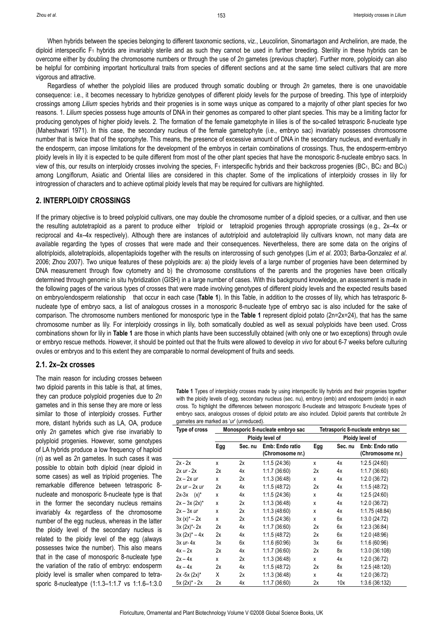When hybrids between the species belonging to different taxonomic sections, viz., Leucolirion, Sinomartagon and Archelirion, are made, the diploid interspecific F1 hybrids are invariably sterile and as such they cannot be used in further breeding. Sterility in these hybrids can be overcome either by doubling the chromosome numbers or through the use of *2n* gametes (previous chapter). Further more, polyploidy can also be helpful for combining important horticultural traits from species of different sections and at the same time select cultivars that are more vigorous and attractive.

Regardless of whether the polyploid lilies are produced through somatic doubling or through *2n* gametes, there is one unavoidable consequence: i.e., it becomes necessary to hybridize genotypes of different ploidy levels for the purpose of breeding. This type of interploidy crossings among *Lilium* species hybrids and their progenies is in some ways unique as compared to a majority of other plant species for two reasons. 1. *Lilium* species possess huge amounts of DNA in their genomes as compared to other plant species. This may be a limiting factor for producing genotypes of higher ploidy levels. 2. The formation of the female gametophyte in lilies is of the so-called tetrasporic 8-nucleate type (Maheshwari 1971). In this case, the secondary nucleus of the female gametophyte (i.e., embryo sac) invariably possesses chromosome number that is twice that of the sporophyte. This means, the presence of excessive amount of DNA in the secondary nucleus, and eventually in the endosperm, can impose limitations for the development of the embryos in certain combinations of crossings. Thus, the endosperm-embryo ploidy levels in lily it is expected to be quite different from most of the other plant species that have the monosporic 8-nucleate embryo sacs. In view of this, our results on interploidy crosses involving the species, F<sub>1</sub> interspecific hybrids and their backcross progenies (BC<sub>1</sub>, BC<sub>2</sub> and BC<sub>3</sub>) among Longiflorum, Asiatic and Oriental lilies are considered in this chapter. Some of the implications of interploidy crosses in lily for introgression of characters and to achieve optimal ploidy levels that may be required for cultivars are highlighted.

# **2. INTERPLOIDY CROSSINGS**

If the primary objective is to breed polyploid cultivars, one may double the chromosome number of a diploid species, or a cultivar, and then use the resulting autotetraploid as a parent to produce either triploid or tetraploid progenies through appropriate crossings (e.g., 2x–4x or reciprocal and 4x–4x respectively). Although there are instances of autotriploid and autotetraploid lily cultivars known, not many data are available regarding the types of crosses that were made and their consequences. Nevertheless, there are some data on the origins of allotriploids, allotetraploids, allopentaploids together with the results on intercrossing of such genotypes (Lim *et al*. 2003; Barba-Gonzalez *et al*. 2006; Zhou 2007). Two unique features of these polyploids are: a) the ploidy levels of a large number of progenies have been determined by DNA measurement through flow cytometry and b) the chromosome constitutions of the parents and the progenies have been critically determined through genomic in situ hybridization (GISH) in a large number of cases. With this background knowledge, an assessment is made in the following pages of the various types of crosses that were made involving genotypes of different ploidy levels and the expected results based on embryo/endosperm relationship that occur in each case (**Table 1**). In this Table, in addition to the crosses of lily, which has tetrasporic 8 nucleate type of embryo sacs, a list of analogous crosses in a monosporic 8-nucleate type of embryo sac is also included for the sake of comparison. The chromosome numbers mentioned for monosporic type in the **Table 1** represent diploid potato (2n=2x=24), that has the same chromosome number as lily. For interploidy crossings in lily, both somatically doubled as well as sexual polyploids have been used. Cross combinations shown for lily in **Table 1** are those in which plants have been successfully obtained (with only one or two exceptions) through ovule or embryo rescue methods. However, it should be pointed out that the fruits were allowed to develop *in vivo* for about 6-7 weeks before culturing ovules or embryos and to this extent they are comparable to normal development of fruits and seeds.

## **2.1. 2x–2x crosses**

The main reason for including crosses between two diploid parents in this table is that, at times, they can produce polyploid progenies due to *2n* gametes and in this sense they are more or less similar to those of interploidy crosses. Further more, distant hybrids such as LA, OA, produce only *2n* gametes which give rise invariably to polyploid progenies. However, some genotypes of LA hybrids produce a low frequency of haploid (*n*) as well as *2n* gametes. In such cases it was possible to obtain both diploid (near diploid in some cases) as well as triploid progenies. The remarkable difference between tetrasporic 8 nucleate and monosporic 8-nucleate type is that in the former the secondary nucleus remains invariably 4x regardless of the chromosome number of the egg nucleus, whereas in the latter the ploidy level of the secondary nucleus is related to the ploidy level of the egg (always possesses twice the number). This also means that in the case of monosporic 8-nucleate type the variation of the ratio of embryo: endosperm ploidy level is smaller when compared to tetrasporic 8-nucleatype (1:1.3–1:1.7 vs 1:1.6–1:3.0

| <b>Table 1</b> Types of interploidy crosses made by using interspecific lily hybrids and their progenies together |
|-------------------------------------------------------------------------------------------------------------------|
| with the ploidy levels of egg, secondary nucleus (sec. nu), embryo (emb) and endosperm (endo) in each             |
| cross. To highlight the differences between monosporic 8-nucleate and tetrasporic 8-nucleate types of             |
| embryo sacs, analogous crosses of diploid potato are also included. Diploid parents that contribute 2n            |
| gametes are marked as 'ur' (unreduced).                                                                           |

| Type of cross      | Monosporic 8-nucleate embryo sac |         |                  | Tetrasporic 8-nucleate embryo sac |         |                  |
|--------------------|----------------------------------|---------|------------------|-----------------------------------|---------|------------------|
|                    | Ploidy level of                  |         |                  | Ploidy level of                   |         |                  |
|                    | Egg                              | Sec. nu | Emb: Endo ratio  | Egg                               | Sec. nu | Emb: Endo ratio  |
|                    |                                  |         | (Chromosome nr.) |                                   |         | (Chromosome nr.) |
| $2x - 2x$          | x                                | 2x      | 1:1.5(24:36)     | x                                 | 4x      | 1:2.5(24:60)     |
| $2x$ ur - $2x$     | 2x                               | 4x      | 1:1.7(36:60)     | 2x                                | 4х      | 1:1.7(36:60)     |
| $2x - 2x$ ur       | X                                | 2x      | 1:1.3(36:48)     | x                                 | 4x      | 1:2.0(36:72)     |
| $2x$ ur $-2x$ ur   | 2x                               | 4x      | 1:1.5(48:72)     | 2x                                | 4x      | 1:1.5(48:72)     |
| $2x-3x (x)^*$      | x                                | 4x      | 1:1.5(24:36)     | x                                 | 4х      | 1:2.5(24:60)     |
| $2x - 3x (2x)^{*}$ | x                                | 2x      | 1:1.3(36:48)     | x                                 | 4х      | 1:2.0(36:72)     |
| $2x - 3x$ ur       | x                                | 2x      | 1:1.3(48:60)     | x                                 | 4x      | 1:1.75 (48:84)   |
| $3x(x)^* - 2x$     | X                                | 2x      | 1:1.5(24:36)     | x                                 | 6x      | 1:3.0(24:72)     |
| $3x (2x)^* - 2x$   | 2x                               | 4x      | 1:1.7(36:60)     | 2x                                | 6x      | 1:2.3(36:84)     |
| $3x (2x)^* - 4x$   | 2x                               | 4x      | 1:1.5(48:72)     | 2x                                | 6x      | 1:2.0 (48:96)    |
| $3x$ ur- $4x$      | 3x                               | 6x      | 1:1.6 (60:96)    | 3x                                | 6x      | 1:1.6(60:96)     |
| $4x - 2x$          | 2x                               | 4x      | 1:1.7(36:60)     | 2x                                | 8х      | 1:3.0 (36:108)   |
| $2x - 4x$          | x                                | 2x      | 1:1.3(36:48)     | X                                 | 4х      | 1:2.0(36:72)     |
| $4x - 4x$          | 2x                               | 4x      | 1:1.5 (48:72)    | 2x                                | 8x      | 1:2.5 (48:120)   |
| $2x - 5x (2x)^*$   | Χ                                | 2x      | 1:1.3(36:48)     | x                                 | 4x      | 1:2.0 (36:72)    |
| $5x (2x)^* - 2x$   | 2х                               | 4х      | 1:1.7(36:60)     | 2x                                | 10x     | 1:3.6 (36:132)   |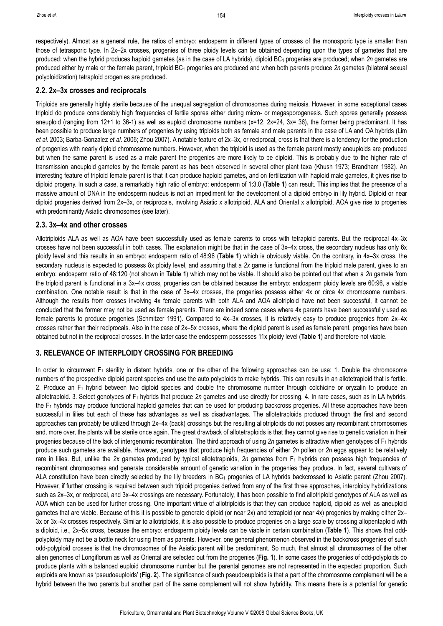respectively). Almost as a general rule, the ratios of embryo: endosperm in different types of crosses of the monosporic type is smaller than those of tetrasporic type. In 2x–2x crosses, progenies of three ploidy levels can be obtained depending upon the types of gametes that are produced: when the hybrid produces haploid gametes (as in the case of LA hybrids), diploid BC1 progenies are produced; when *2n* gametes are produced either by male or the female parent, triploid BC1 progenies are produced and when both parents produce *2n* gametes (bilateral sexual polyploidization) tetraploid progenies are produced.

#### **2.2. 2x–3x crosses and reciprocals**

Triploids are generally highly sterile because of the unequal segregation of chromosomes during meiosis. However, in some exceptional cases triploid do produce considerably high frequencies of fertile spores either during micro- or megasporogenesis. Such spores generally possess aneuploid (ranging from 12+1 to 36-1) as well as euploid chromosome numbers (x=12, 2x=24, 3x= 36), the former being predominant. It has been possible to produce large numbers of progenies by using triploids both as female and male parents in the case of LA and OA hybrids (Lim *et al*. 2003; Barba-Gonzalez *et al*. 2006; Zhou 2007). A notable feature of 2x–3x, or reciprocal, cross is that there is a tendency for the production of progenies with nearly diploid chromosome numbers. However, when the triploid is used as the female parent mostly aneuploids are produced but when the same parent is used as a male parent the progenies are more likely to be diploid. This is probably due to the higher rate of transmission aneuploid gametes by the female parent as has been observed in several other plant taxa (Khush 1973; Brandham 1982). An interesting feature of triploid female parent is that it can produce haploid gametes, and on fertilization with haploid male gametes, it gives rise to diploid progeny. In such a case, a remarkably high ratio of embryo: endosperm of 1:3.0 (**Table 1**) can result. This implies that the presence of a massive amount of DNA in the endosperm nucleus is not an impediment for the development of a diploid embryo in lily hybrid. Diploid or near diploid progenies derived from 2x–3x, or reciprocals, involving Asiatic x allotriploid, ALA and Oriental x allotriploid, AOA give rise to progenies with predominantly Asiatic chromosomes (see later).

#### **2.3. 3x–4x and other crosses**

Allotriploids ALA as well as AOA have been successfully used as female parents to cross with tetraploid parents. But the reciprocal 4x–3x crosses have not been successful in both cases. The explanation might be that in the case of 3x–4x cross, the secondary nucleus has only 6x ploidy level and this results in an embryo: endosperm ratio of 48:96 (**Table 1**) which is obviously viable. On the contrary, in 4x–3x cross, the secondary nucleus is expected to possess 8x ploidy level, and assuming that a *2x* game is functional from the triploid male parent, gives to an embryo: endosperm ratio of 48:120 (not shown in **Table 1**) which may not be viable. It should also be pointed out that when a *2n* gamete from the triploid parent is functional in a 3x–4x cross, progenies can be obtained because the embryo: endosperm ploidy levels are 60:96, a viable combination. One notable result is that in the case of 3x–4x crosses, the progenies possess either 4x or circa 4x chromosome numbers. Although the results from crosses involving 4x female parents with both ALA and AOA allotriploid have not been successful, it cannot be concluded that the former may not be used as female parents. There are indeed some cases where 4x parents have been successfully used as female parents to produce progenies (Schmitzer 1991). Compared to 4x–3x crosses, it is relatively easy to produce progenies from 2x–4x crosses rather than their reciprocals. Also in the case of 2x–5x crosses, where the diploid parent is used as female parent, progenies have been obtained but not in the reciprocal crosses. In the latter case the endosperm possesses 11x ploidy level (**Table 1**) and therefore not viable.

# **3. RELEVANCE OF INTERPLOIDY CROSSING FOR BREEDING**

In order to circumvent F<sub>1</sub> sterility in distant hybrids, one or the other of the following approaches can be use: 1. Double the chromosome numbers of the prospective diploid parent species and use the auto polyploids to make hybrids. This can results in an allotetraploid that is fertile. 2. Produce an  $F_1$  hybrid between two diploid species and double the chromosome number through colchicine or oryzalin to produce an allotetraploid. 3. Select genotypes of F1 hybrids that produce *2n* gametes and use directly for crossing. 4. In rare cases, such as in LA hybrids, the F<sub>1</sub> hybrids may produce functional haploid gametes that can be used for producing backcross progenies. All these approaches have been successful in lilies but each of these has advantages as well as disadvantages. The allotetraploids produced through the first and second approaches can probably be utilized through 2x–4x (back) crossings but the resulting allotriploids do not posses any recombinant chromosomes and, more over, the plants will be sterile once again. The great drawback of allotetraploids is that they cannot give rise to genetic variation in their progenies because of the lack of intergenomic recombination. The third approach of using *2n* gametes is attractive when genotypes of F1 hybrids produce such gametes are available. However, genotypes that produce high frequencies of either *2n* pollen or *2n* eggs appear to be relatively rare in lilies. But, unlike the 2x gametes produced by typical allotetraploids, 2n gametes from F<sub>1</sub> hybrids can possess high frequencies of recombinant chromosomes and generate considerable amount of genetic variation in the progenies they produce. In fact, several cultivars of ALA constitution have been directly selected by the lily breeders in BC<sub>1</sub> progenies of LA hybrids backcrossed to Asiatic parent (Zhou 2007). However, if further crossing is required between such triploid progenies derived from any of the first three approaches, interploidy hybridizations such as 2x–3x, or reciprocal, and 3x–4x crossings are necessary. Fortunately, it has been possible to find allotriploid genotypes of ALA as well as AOA which can be used for further crossing. One important virtue of allotriploids is that they can produce haploid, diploid as well as aneuploid gametes that are viable. Because of this it is possible to generate diploid (or near 2x) and tetraploid (or near 4x) progenies by making either 2x– 3x or 3x–4x crosses respectively. Similar to allotriploids, it is also possible to produce progenies on a large scale by crossing allopentaploid with a diploid, i.e., 2x–5x cross, because the embryo: endosperm ploidy levels can be viable in certain combination (**Table 1**). This shows that oddpolyploidy may not be a bottle neck for using them as parents. However, one general phenomenon observed in the backcross progenies of such odd-polyploid crosses is that the chromosomes of the Asiatic parent will be predominant. So much, that almost all chromosomes of the other alien genomes of Longiflorum as well as Oriental are selected out from the progenies (**Fig. 1**). In some cases the progenies of odd-polyploids do produce plants with a balanced euploid chromosome number but the parental genomes are not represented in the expected proportion. Such euploids are known as 'pseudoeuploids' (**Fig. 2**). The significance of such pseudoeuploids is that a part of the chromosome complement will be a hybrid between the two parents but another part of the same complement will not show hybridity. This means there is a potential for genetic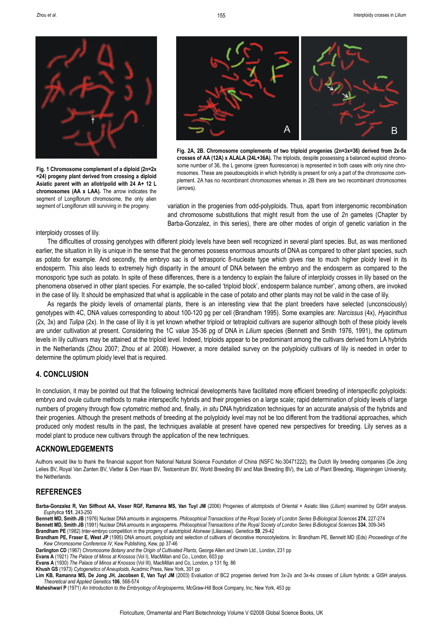**Fig. 1 Chromosome complement of a diploid (2n=2x =24) progeny plant derived from crossing a diploid Asiatic parent with an allotripolid with 24 A+ 12 L chromosomes (AA x LAA).** The arrow indicates the segment of Longiflorum chromosome, the only alien segment of Longiflorum still surviving in the progeny.



**Fig. 2A, 2B. Chromosome complements of two triploid progenies (2n=3x=36) derived from 2x-5x crosses of AA (12A) x ALALA (24L+36A).** The triploids, despite possessing a balanced euploid chromosome number of 36, the L genome (green fluorescence) is represented in both cases with only nine chromosomes. These are pseudoeuploids in which hybridity is present for only a part of the chromosome complement. 2A has no recombinant chromosomes whereas in 2B there are two recombinant chromosomes (arrows).

variation in the progenies from odd-polyploids. Thus, apart from intergenomic recombination and chromosome substitutions that might result from the use of *2n* gametes (Chapter by Barba-Gonzalez, in this series), there are other modes of origin of genetic variation in the

#### interploidy crosses of lily.

The difficulties of crossing genotypes with different ploidy levels have been well recognized in several plant species. But, as was mentioned earlier, the situation in lily is unique in the sense that the genomes possess enormous amounts of DNA as compared to other plant species, such as potato for example. And secondly, the embryo sac is of tetrasporic 8-nucleate type which gives rise to much higher ploidy level in its endosperm. This also leads to extremely high disparity in the amount of DNA between the embryo and the endosperm as compared to the monosporic type such as potato. In spite of these differences, there is a tendency to explain the failure of interploidy crosses in lily based on the phenomena observed in other plant species. For example, the so-called 'triploid block', endosperm balance number', among others, are invoked in the case of lily. It should be emphasized that what is applicable in the case of potato and other plants may not be valid in the case of lily.

155

As regards the ploidy levels of ornamental plants, there is an interesting view that the plant breeders have selected (unconsciously) genotypes with 4C, DNA values corresponding to about 100-120 pg per cell (Brandham 1995). Some examples are: *Narcissus* (4x), *Hyacinthus* (2x, 3x) and *Tulipa* (2x). In the case of lily it is yet known whether triploid or tetraploid cultivars are superior although both of these ploidy levels are under cultivation at present. Considering the 1C value 35-36 pg of DNA in *Lilium* species (Bennett and Smith 1976, 1991), the optimum levels in lily cultivars may be attained at the triploid level. Indeed, triploids appear to be predominant among the cultivars derived from LA hybrids in the Netherlands (Zhou 2007; Zhou *et al*. 2008). However, a more detailed survey on the polyploidy cultivars of lily is needed in order to determine the optimum ploidy level that is required.

## **4. CONCLUSION**

In conclusion, it may be pointed out that the following technical developments have facilitated more efficient breeding of interspecific polyploids: embryo and ovule culture methods to make interspecific hybrids and their progenies on a large scale; rapid determination of ploidy levels of large numbers of progeny through flow cytometric method and, finally*, in situ* DNA hybridization techniques for an accurate analysis of the hybrids and their progenies. Although the present methods of breeding at the polyploidy level may not be too different from the traditional approaches, which produced only modest results in the past, the techniques available at present have opened new perspectives for breeding. Lily serves as a model plant to produce new cultivars through the application of the new techniques.

#### **ACKNOWLEDGEMENTS**

Authors would like to thank the financial support from National Natural Science Foundation of China (NSFC No.30471222), the Dutch lily breeding companies (De Jong Lelies BV, Royal Van Zanten BV, Vletter & Den Haan BV, Testcentrum BV, World Breeding BV and Mak Breeding BV), the Lab of Plant Breeding, Wageningen University, the Netherlands.

# **REFERENCES**

**Barba-Gonzalez R, Van Silfhout AA, Visser RGF, Ramanna MS, Van Tuyl JM** (2006) Progenies of allotriploids of Oriental × Asiatic lilies (*Lilium*) examined by GISH analysis. *Euphytica* **151**, 243-250

**Bennett MD, Smith JB** (1976) Nuclear DNA amounts in angiosperms. *Philosophical Transactions of the Royal Society of London Series B-Biological Sciences* **274**, 227-274 **Bennett MD, Smith JB** (1991) Nuclear DNA amounts in angiosperms. *Philosophical Transactions of the Royal Society of London Series B-Biological Sciences* **334**, 309-345 **Brandham PE** (1982) Inter-embryo competition in the progeny of autotriploid *Aloineae* (Liliaceae). *Genetica* **59**, 29-42

**Brandham PE, Fraser E, West JP** (1995) DNA amount, polyploidy and selection of cultivars of decorative monocotyledons. In: Brandham PE, Bennett MD (Eds) *Proceedings of the Kew Chromosome Conference IV*, Kew Publishing, Kew, pp 37-46

**Darlington CD** (1967) *Chromosome Botany and the Origin of Cultivated Plants*, George Allen and Unwin Ltd., London, 231 pp

**Evans A** (1921) *The Palace of Minos at Knossos* (Vol I), MacMillan and Co., London, 603 pp

**Evans A** (1930) *The Palace of Minos at Knossos* (Vol III), MacMillan and Co, London, p 131 fig. 86

**Khush GS** (1973) *Cytogenetics of Aneuploids*, Acadmic Press, New York, 301 pp

**Lim KB, Ramanna MS, De Jong JH, Jacobsen E, Van Tuyl JM** (2003) Evaluation of BC2 progenies derived from 3x-2x and 3x-4x crosses of *Lilium* hybrids: a GISH analysis. *Theoretical and Applied Genetics* **106**, 568-574

**Maheshwari P** (1971) *An Introduction to the Embryology of Angiosperms*, McGraw-Hill Book Company, Inc, New York, 453 pp